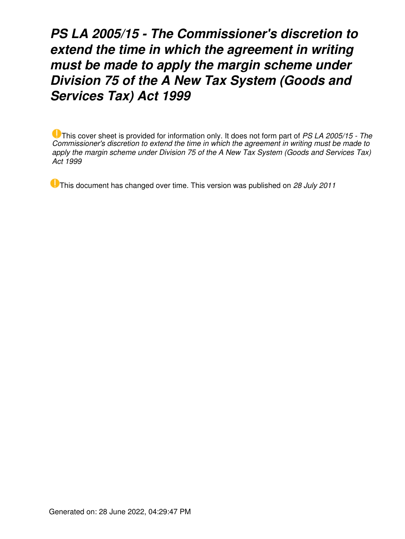# *PS LA 2005/15 - The Commissioner's discretion to extend the time in which the agreement in writing must be made to apply the margin scheme under Division 75 of the A New Tax System (Goods and Services Tax) Act 1999*

This cover sheet is provided for information only. It does not form part of *PS LA 2005/15 - The Commissioner's discretion to extend the time in which the agreement in writing must be made to apply the margin scheme under Division 75 of the A New Tax System (Goods and Services Tax) Act 1999*

This document has changed over time. This version was published on *28 July 2011*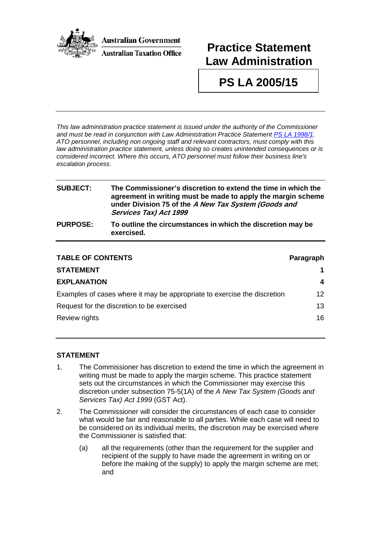

# **Practice Statement Law Administration**

## **PS LA 2005/15**

*This law administration practice statement is issued under the authority of the Commissioner and must be read in conjunction with Law Administration Practice Statement [PS LA 1998/1.](http://law.ato.gov.au/view.htm?DocID=PSR/PS19981/NAT/ATO/00001) ATO personnel, including non ongoing staff and relevant contractors, must comply with this law administration practice statement, unless doing so creates unintended consequences or is considered incorrect. Where this occurs, ATO personnel must follow their business line's escalation process.*

### **SUBJECT: The Commissioner's discretion to extend the time in which the agreement in writing must be made to apply the margin scheme under Division 75 of the A New Tax System (Goods and Services Tax) Act 1999 PURPOSE: To outline the circumstances in which the discretion may be exercised.**

| <b>TABLE OF CONTENTS</b>                                                 | Paragraph       |
|--------------------------------------------------------------------------|-----------------|
| <b>STATEMENT</b>                                                         |                 |
| <b>EXPLANATION</b>                                                       | 4               |
| Examples of cases where it may be appropriate to exercise the discretion | 12 <sup>°</sup> |
| Request for the discretion to be exercised                               | 13              |
| Review rights                                                            | 16.             |

#### **STATEMENT**

- 1. The Commissioner has discretion to extend the time in which the agreement in writing must be made to apply the margin scheme. This practice statement sets out the circumstances in which the Commissioner may exercise this discretion under subsection 75-5(1A) of the *A New Tax System (Goods and Services Tax) Act 1999* (GST Act).
- 2. The Commissioner will consider the circumstances of each case to consider what would be fair and reasonable to all parties. While each case will need to be considered on its individual merits, the discretion may be exercised where the Commissioner is satisfied that:
	- (a) all the requirements (other than the requirement for the supplier and recipient of the supply to have made the agreement in writing on or before the making of the supply) to apply the margin scheme are met; and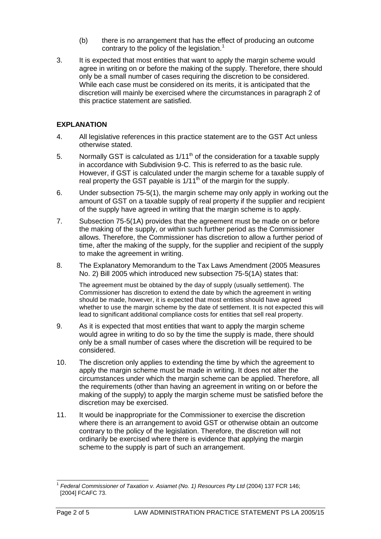- (b) there is no arrangement that has the effect of producing an outcome contrary to the policy of the legislation.<sup>[1](#page-2-0)</sup>
- 3. It is expected that most entities that want to apply the margin scheme would agree in writing on or before the making of the supply. Therefore, there should only be a small number of cases requiring the discretion to be considered. While each case must be considered on its merits, it is anticipated that the discretion will mainly be exercised where the circumstances in paragraph 2 of this practice statement are satisfied.

### **EXPLANATION**

- 4. All legislative references in this practice statement are to the GST Act unless otherwise stated.
- 5. Normally GST is calculated as  $1/11<sup>th</sup>$  of the consideration for a taxable supply in accordance with Subdivision 9-C. This is referred to as the basic rule. However, if GST is calculated under the margin scheme for a taxable supply of real property the GST payable is  $1/11<sup>th</sup>$  of the margin for the supply.
- 6. Under subsection 75-5(1), the margin scheme may only apply in working out the amount of GST on a taxable supply of real property if the supplier and recipient of the supply have agreed in writing that the margin scheme is to apply.
- 7. Subsection 75-5(1A) provides that the agreement must be made on or before the making of the supply, or within such further period as the Commissioner allows. Therefore, the Commissioner has discretion to allow a further period of time, after the making of the supply, for the supplier and recipient of the supply to make the agreement in writing.
- 8. The Explanatory Memorandum to the Tax Laws Amendment (2005 Measures No. 2) Bill 2005 which introduced new subsection 75-5(1A) states that:

The agreement must be obtained by the day of supply (usually settlement). The Commissioner has discretion to extend the date by which the agreement in writing should be made, however, it is expected that most entities should have agreed whether to use the margin scheme by the date of settlement. It is not expected this will lead to significant additional compliance costs for entities that sell real property.

- 9. As it is expected that most entities that want to apply the margin scheme would agree in writing to do so by the time the supply is made, there should only be a small number of cases where the discretion will be required to be considered.
- 10. The discretion only applies to extending the time by which the agreement to apply the margin scheme must be made in writing. It does not alter the circumstances under which the margin scheme can be applied. Therefore, all the requirements (other than having an agreement in writing on or before the making of the supply) to apply the margin scheme must be satisfied before the discretion may be exercised.
- 11. It would be inappropriate for the Commissioner to exercise the discretion where there is an arrangement to avoid GST or otherwise obtain an outcome contrary to the policy of the legislation. Therefore, the discretion will not ordinarily be exercised where there is evidence that applying the margin scheme to the supply is part of such an arrangement.

<span id="page-2-0"></span><sup>1</sup> *Federal Commissioner of Taxation v. Asiamet (No. 1) Resources Pty Ltd* (2004) 137 FCR 146; [2004] FCAFC 73.  $\overline{\phantom{a}}$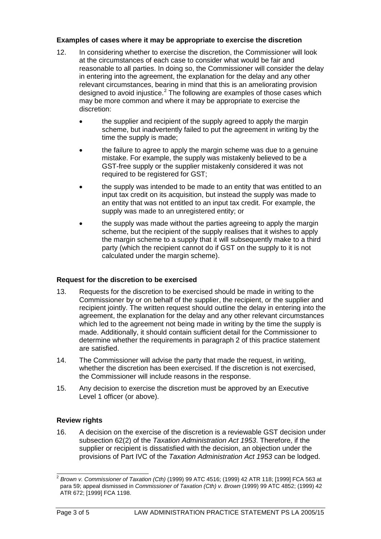#### **Examples of cases where it may be appropriate to exercise the discretion**

- 12. In considering whether to exercise the discretion, the Commissioner will look at the circumstances of each case to consider what would be fair and reasonable to all parties. In doing so, the Commissioner will consider the delay in entering into the agreement, the explanation for the delay and any other relevant circumstances, bearing in mind that this is an ameliorating provision designed to avoid injustice.<sup>[2](#page-3-0)</sup> The following are examples of those cases which may be more common and where it may be appropriate to exercise the discretion:
	- the supplier and recipient of the supply agreed to apply the margin scheme, but inadvertently failed to put the agreement in writing by the time the supply is made;
	- the failure to agree to apply the margin scheme was due to a genuine mistake. For example, the supply was mistakenly believed to be a GST-free supply or the supplier mistakenly considered it was not required to be registered for GST;
	- the supply was intended to be made to an entity that was entitled to an input tax credit on its acquisition, but instead the supply was made to an entity that was not entitled to an input tax credit. For example, the supply was made to an unregistered entity; or
	- the supply was made without the parties agreeing to apply the margin scheme, but the recipient of the supply realises that it wishes to apply the margin scheme to a supply that it will subsequently make to a third party (which the recipient cannot do if GST on the supply to it is not calculated under the margin scheme).

### **Request for the discretion to be exercised**

- 13. Requests for the discretion to be exercised should be made in writing to the Commissioner by or on behalf of the supplier, the recipient, or the supplier and recipient jointly. The written request should outline the delay in entering into the agreement, the explanation for the delay and any other relevant circumstances which led to the agreement not being made in writing by the time the supply is made. Additionally, it should contain sufficient detail for the Commissioner to determine whether the requirements in paragraph 2 of this practice statement are satisfied.
- 14. The Commissioner will advise the party that made the request, in writing, whether the discretion has been exercised. If the discretion is not exercised, the Commissioner will include reasons in the response.
- 15. Any decision to exercise the discretion must be approved by an Executive Level 1 officer (or above).

### **Review rights**

16. A decision on the exercise of the discretion is a reviewable GST decision under subsection 62(2) of the *Taxation Administration Act 1953*. Therefore, if the supplier or recipient is dissatisfied with the decision, an objection under the provisions of Part IVC of the *Taxation Administration Act 1953* can be lodged.

<span id="page-3-0"></span><sup>2</sup> *Brown v. Commissioner of Taxation (Cth)* (1999) 99 ATC 4516; (1999) 42 ATR 118; [1999] FCA 563 at para 59; appeal dismissed in *Commissioner of Taxation (Cth) v. Brown* (1999) 99 ATC 4852; (1999) 42 ATR 672; [1999] FCA 1198.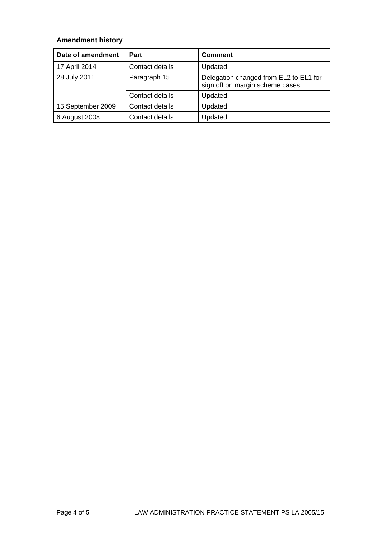## **Amendment history**

| Date of amendment | Part            | <b>Comment</b>                                                             |
|-------------------|-----------------|----------------------------------------------------------------------------|
| 17 April 2014     | Contact details | Updated.                                                                   |
| 28 July 2011      | Paragraph 15    | Delegation changed from EL2 to EL1 for<br>sign off on margin scheme cases. |
|                   | Contact details | Updated.                                                                   |
| 15 September 2009 | Contact details | Updated.                                                                   |
| 6 August 2008     | Contact details | Updated.                                                                   |